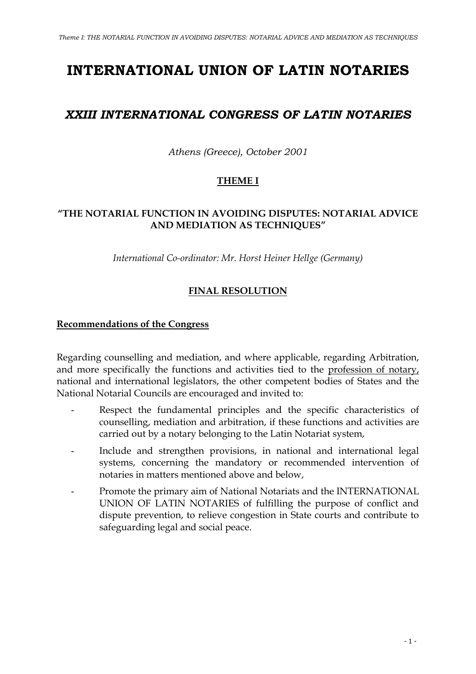# **INTERNATIONAL UNION OF LATIN NOTARIES**

# *XXIII INTERNATIONAL CONGRESS OF LATIN NOTARIES*

*Athens (Greece), October 2001*

# **THEME I**

### **"THE NOTARIAL FUNCTION IN AVOIDING DISPUTES: NOTARIAL ADVICE AND MEDIATION AS TECHNIQUES"**

*International Co-ordinator: Mr. Horst Heiner Hellge (Germany)*

## **FINAL RESOLUTION**

#### **Recommendations of the Congress**

Regarding counselling and mediation, and where applicable, regarding Arbitration, and more specifically the functions and activities tied to the profession of notary, national and international legislators, the other competent bodies of States and the National Notarial Councils are encouraged and invited to:

- Respect the fundamental principles and the specific characteristics of counselling, mediation and arbitration, if these functions and activities are carried out by a notary belonging to the Latin Notariat system,
- Include and strengthen provisions, in national and international legal systems, concerning the mandatory or recommended intervention of notaries in matters mentioned above and below,
- Promote the primary aim of National Notariats and the INTERNATIONAL UNION OF LATIN NOTARIES of fulfilling the purpose of conflict and dispute prevention, to relieve congestion in State courts and contribute to safeguarding legal and social peace.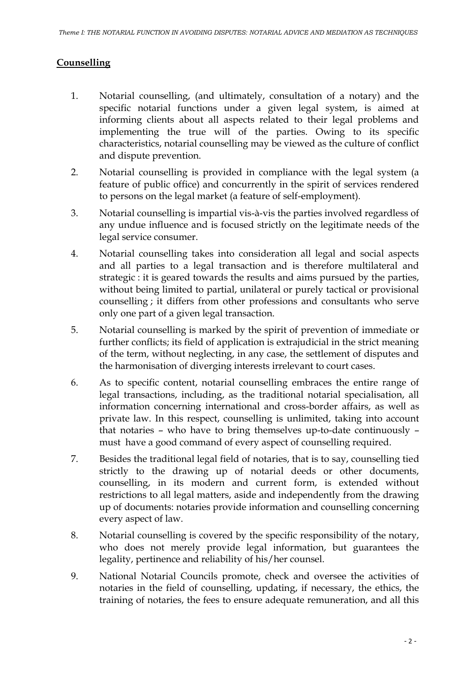#### **Counselling**

- 1. Notarial counselling, (and ultimately, consultation of a notary) and the specific notarial functions under a given legal system, is aimed at informing clients about all aspects related to their legal problems and implementing the true will of the parties. Owing to its specific characteristics, notarial counselling may be viewed as the culture of conflict and dispute prevention.
- 2. Notarial counselling is provided in compliance with the legal system (a feature of public office) and concurrently in the spirit of services rendered to persons on the legal market (a feature of self-employment).
- 3. Notarial counselling is impartial vis-à-vis the parties involved regardless of any undue influence and is focused strictly on the legitimate needs of the legal service consumer.
- 4. Notarial counselling takes into consideration all legal and social aspects and all parties to a legal transaction and is therefore multilateral and strategic : it is geared towards the results and aims pursued by the parties, without being limited to partial, unilateral or purely tactical or provisional counselling ; it differs from other professions and consultants who serve only one part of a given legal transaction.
- 5. Notarial counselling is marked by the spirit of prevention of immediate or further conflicts; its field of application is extrajudicial in the strict meaning of the term, without neglecting, in any case, the settlement of disputes and the harmonisation of diverging interests irrelevant to court cases.
- 6. As to specific content, notarial counselling embraces the entire range of legal transactions, including, as the traditional notarial specialisation, all information concerning international and cross-border affairs, as well as private law. In this respect, counselling is unlimited, taking into account that notaries – who have to bring themselves up-to-date continuously – must have a good command of every aspect of counselling required.
- 7. Besides the traditional legal field of notaries, that is to say, counselling tied strictly to the drawing up of notarial deeds or other documents, counselling, in its modern and current form, is extended without restrictions to all legal matters, aside and independently from the drawing up of documents: notaries provide information and counselling concerning every aspect of law.
- 8. Notarial counselling is covered by the specific responsibility of the notary, who does not merely provide legal information, but guarantees the legality, pertinence and reliability of his/her counsel.
- 9. National Notarial Councils promote, check and oversee the activities of notaries in the field of counselling, updating, if necessary, the ethics, the training of notaries, the fees to ensure adequate remuneration, and all this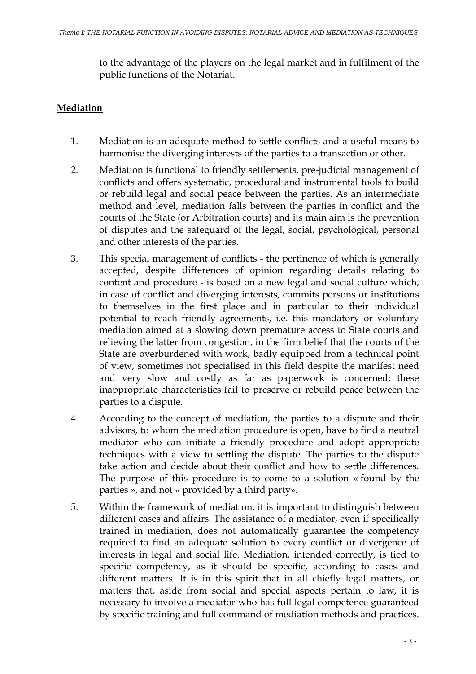to the advantage of the players on the legal market and in fulfilment of the public functions of the Notariat.

#### **Mediation**

- 1. Mediation is an adequate method to settle conflicts and a useful means to harmonise the diverging interests of the parties to a transaction or other.
- 2. Mediation is functional to friendly settlements, pre-judicial management of conflicts and offers systematic, procedural and instrumental tools to build or rebuild legal and social peace between the parties. As an intermediate method and level, mediation falls between the parties in conflict and the courts of the State (or Arbitration courts) and its main aim is the prevention of disputes and the safeguard of the legal, social, psychological, personal and other interests of the parties.
- 3. This special management of conflicts the pertinence of which is generally accepted, despite differences of opinion regarding details relating to content and procedure - is based on a new legal and social culture which, in case of conflict and diverging interests, commits persons or institutions to themselves in the first place and in particular to their individual potential to reach friendly agreements, i.e. this mandatory or voluntary mediation aimed at a slowing down premature access to State courts and relieving the latter from congestion, in the firm belief that the courts of the State are overburdened with work, badly equipped from a technical point of view, sometimes not specialised in this field despite the manifest need and very slow and costly as far as paperwork is concerned; these inappropriate characteristics fail to preserve or rebuild peace between the parties to a dispute.
- 4. According to the concept of mediation, the parties to a dispute and their advisors, to whom the mediation procedure is open, have to find a neutral mediator who can initiate a friendly procedure and adopt appropriate techniques with a view to settling the dispute. The parties to the dispute take action and decide about their conflict and how to settle differences. The purpose of this procedure is to come to a solution « found by the parties », and not « provided by a third party».
- 5. Within the framework of mediation, it is important to distinguish between different cases and affairs. The assistance of a mediator, even if specifically trained in mediation, does not automatically guarantee the competency required to find an adequate solution to every conflict or divergence of interests in legal and social life. Mediation, intended correctly, is tied to specific competency, as it should be specific, according to cases and different matters. It is in this spirit that in all chiefly legal matters, or matters that, aside from social and special aspects pertain to law, it is necessary to involve a mediator who has full legal competence guaranteed by specific training and full command of mediation methods and practices.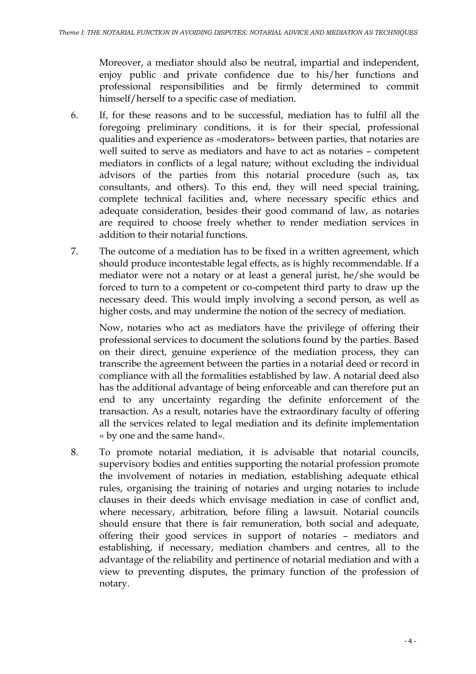Moreover, a mediator should also be neutral, impartial and independent, enjoy public and private confidence due to his/her functions and professional responsibilities and be firmly determined to commit himself/herself to a specific case of mediation.

- 6. If, for these reasons and to be successful, mediation has to fulfil all the foregoing preliminary conditions, it is for their special, professional qualities and experience as «moderators» between parties, that notaries are well suited to serve as mediators and have to act as notaries – competent mediators in conflicts of a legal nature; without excluding the individual advisors of the parties from this notarial procedure (such as, tax consultants, and others). To this end, they will need special training, complete technical facilities and, where necessary specific ethics and adequate consideration, besides their good command of law, as notaries are required to choose freely whether to render mediation services in addition to their notarial functions.
- 7. The outcome of a mediation has to be fixed in a written agreement, which should produce incontestable legal effects, as is highly recommendable. If a mediator were not a notary or at least a general jurist, he/she would be forced to turn to a competent or co-competent third party to draw up the necessary deed. This would imply involving a second person, as well as higher costs, and may undermine the notion of the secrecy of mediation.

Now, notaries who act as mediators have the privilege of offering their professional services to document the solutions found by the parties. Based on their direct, genuine experience of the mediation process, they can transcribe the agreement between the parties in a notarial deed or record in compliance with all the formalities established by law. A notarial deed also has the additional advantage of being enforceable and can therefore put an end to any uncertainty regarding the definite enforcement of the transaction. As a result, notaries have the extraordinary faculty of offering all the services related to legal mediation and its definite implementation « by one and the same hand».

8. To promote notarial mediation, it is advisable that notarial councils, supervisory bodies and entities supporting the notarial profession promote the involvement of notaries in mediation, establishing adequate ethical rules, organising the training of notaries and urging notaries to include clauses in their deeds which envisage mediation in case of conflict and, where necessary, arbitration, before filing a lawsuit. Notarial councils should ensure that there is fair remuneration, both social and adequate, offering their good services in support of notaries – mediators and establishing, if necessary, mediation chambers and centres, all to the advantage of the reliability and pertinence of notarial mediation and with a view to preventing disputes, the primary function of the profession of notary.